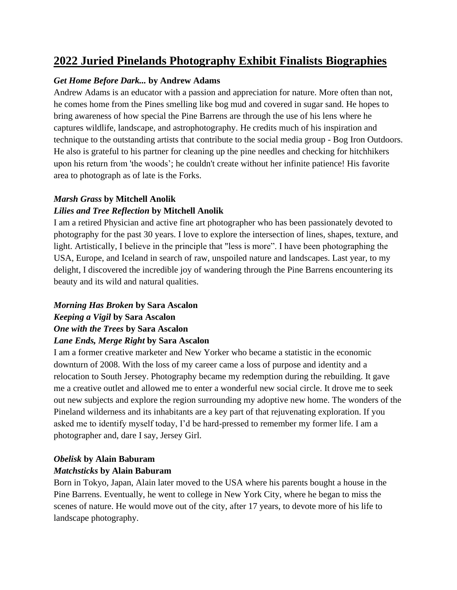# **2022 Juried Pinelands Photography Exhibit Finalists Biographies**

## *Get Home Before Dark...* **by Andrew Adams**

Andrew Adams is an educator with a passion and appreciation for nature. More often than not, he comes home from the Pines smelling like bog mud and covered in sugar sand. He hopes to bring awareness of how special the Pine Barrens are through the use of his lens where he captures wildlife, landscape, and astrophotography. He credits much of his inspiration and technique to the outstanding artists that contribute to the social media group - Bog Iron Outdoors. He also is grateful to his partner for cleaning up the pine needles and checking for hitchhikers upon his return from 'the woods'; he couldn't create without her infinite patience! His favorite area to photograph as of late is the Forks.

## *Marsh Grass* **by Mitchell Anolik**

## *Lilies and Tree Reflection* **by Mitchell Anolik**

I am a retired Physician and active fine art photographer who has been passionately devoted to photography for the past 30 years. I love to explore the intersection of lines, shapes, texture, and light. Artistically, I believe in the principle that "less is more". I have been photographing the USA, Europe, and Iceland in search of raw, unspoiled nature and landscapes. Last year, to my delight, I discovered the incredible joy of wandering through the Pine Barrens encountering its beauty and its wild and natural qualities.

## *Morning Has Broken* **by Sara Ascalon** *Keeping a Vigil* **by Sara Ascalon** *One with the Trees* **by Sara Ascalon** *Lane Ends, Merge Right* **by Sara Ascalon**

I am a former creative marketer and New Yorker who became a statistic in the economic downturn of 2008. With the loss of my career came a loss of purpose and identity and a relocation to South Jersey. Photography became my redemption during the rebuilding. It gave me a creative outlet and allowed me to enter a wonderful new social circle. It drove me to seek out new subjects and explore the region surrounding my adoptive new home. The wonders of the Pineland wilderness and its inhabitants are a key part of that rejuvenating exploration. If you asked me to identify myself today, I'd be hard-pressed to remember my former life. I am a photographer and, dare I say, Jersey Girl.

# *Obelisk* **by Alain Baburam** *Matchsticks* **by Alain Baburam**

Born in Tokyo, Japan, Alain later moved to the USA where his parents bought a house in the Pine Barrens. Eventually, he went to college in New York City, where he began to miss the scenes of nature. He would move out of the city, after 17 years, to devote more of his life to landscape photography.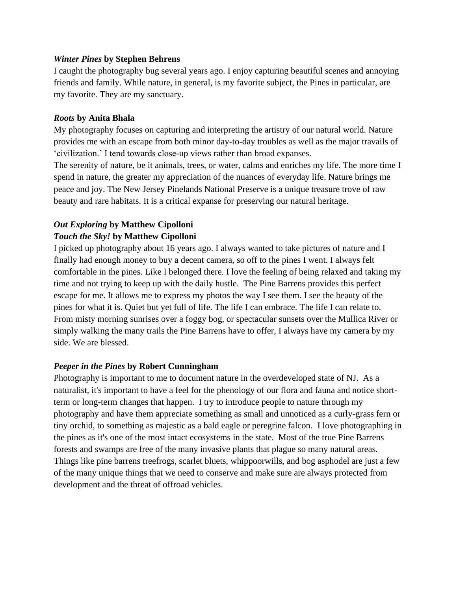#### *Winter Pines* **by Stephen Behrens**

I caught the photography bug several years ago. I enjoy capturing beautiful scenes and annoying friends and family. While nature, in general, is my favorite subject, the Pines in particular, are my favorite. They are my sanctuary.

#### *Roots* **by Anita Bhala**

My photography focuses on capturing and interpreting the artistry of our natural world. Nature provides me with an escape from both minor day-to-day troubles as well as the major travails of 'civilization.' I tend towards close-up views rather than broad expanses.

The serenity of nature, be it animals, trees, or water, calms and enriches my life. The more time I spend in nature, the greater my appreciation of the nuances of everyday life. Nature brings me peace and joy. The New Jersey Pinelands National Preserve is a unique treasure trove of raw beauty and rare habitats. It is a critical expanse for preserving our natural heritage.

# *Out Exploring* **by Matthew Cipolloni** *Touch the Sky!* **by Matthew Cipolloni**

I picked up photography about 16 years ago. I always wanted to take pictures of nature and I finally had enough money to buy a decent camera, so off to the pines I went. I always felt comfortable in the pines. Like I belonged there. I love the feeling of being relaxed and taking my time and not trying to keep up with the daily hustle. The Pine Barrens provides this perfect escape for me. It allows me to express my photos the way I see them. I see the beauty of the pines for what it is. Quiet but yet full of life. The life I can embrace. The life I can relate to. From misty morning sunrises over a foggy bog, or spectacular sunsets over the Mullica River or simply walking the many trails the Pine Barrens have to offer, I always have my camera by my side. We are blessed.

## *Peeper in the Pines* **by Robert Cunningham**

Photography is important to me to document nature in the overdeveloped state of NJ. As a naturalist, it's important to have a feel for the phenology of our flora and fauna and notice shortterm or long-term changes that happen. I try to introduce people to nature through my photography and have them appreciate something as small and unnoticed as a curly-grass fern or tiny orchid, to something as majestic as a bald eagle or peregrine falcon. I love photographing in the pines as it's one of the most intact ecosystems in the state. Most of the true Pine Barrens forests and swamps are free of the many invasive plants that plague so many natural areas. Things like pine barrens treefrogs, scarlet bluets, whippoorwills, and bog asphodel are just a few of the many unique things that we need to conserve and make sure are always protected from development and the threat of offroad vehicles.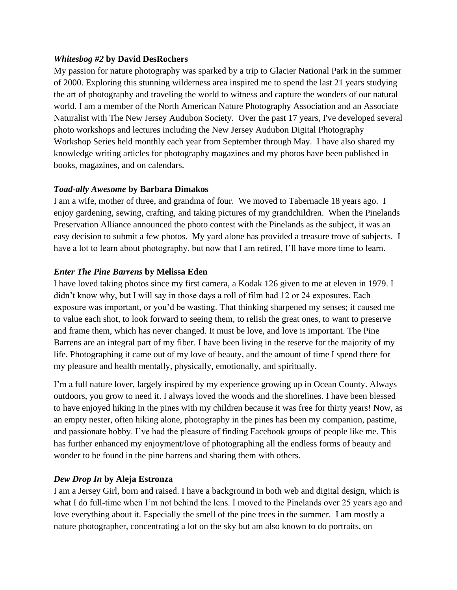#### *Whitesbog #2* **by David DesRochers**

My passion for nature photography was sparked by a trip to Glacier National Park in the summer of 2000. Exploring this stunning wilderness area inspired me to spend the last 21 years studying the art of photography and traveling the world to witness and capture the wonders of our natural world. I am a member of the North American Nature Photography Association and an Associate Naturalist with The New Jersey Audubon Society. Over the past 17 years, I've developed several photo workshops and lectures including the New Jersey Audubon Digital Photography Workshop Series held monthly each year from September through May. I have also shared my knowledge writing articles for photography magazines and my photos have been published in books, magazines, and on calendars.

## *Toad-ally Awesome* **by Barbara Dimakos**

I am a wife, mother of three, and grandma of four. We moved to Tabernacle 18 years ago. I enjoy gardening, sewing, crafting, and taking pictures of my grandchildren. When the Pinelands Preservation Alliance announced the photo contest with the Pinelands as the subject, it was an easy decision to submit a few photos. My yard alone has provided a treasure trove of subjects. I have a lot to learn about photography, but now that I am retired, I'll have more time to learn.

## *Enter The Pine Barrens* **by Melissa Eden**

I have loved taking photos since my first camera, a Kodak 126 given to me at eleven in 1979. I didn't know why, but I will say in those days a roll of film had 12 or 24 exposures. Each exposure was important, or you'd be wasting. That thinking sharpened my senses; it caused me to value each shot, to look forward to seeing them, to relish the great ones, to want to preserve and frame them, which has never changed. It must be love, and love is important. The Pine Barrens are an integral part of my fiber. I have been living in the reserve for the majority of my life. Photographing it came out of my love of beauty, and the amount of time I spend there for my pleasure and health mentally, physically, emotionally, and spiritually.

I'm a full nature lover, largely inspired by my experience growing up in Ocean County. Always outdoors, you grow to need it. I always loved the woods and the shorelines. I have been blessed to have enjoyed hiking in the pines with my children because it was free for thirty years! Now, as an empty nester, often hiking alone, photography in the pines has been my companion, pastime, and passionate hobby. I've had the pleasure of finding Facebook groups of people like me. This has further enhanced my enjoyment/love of photographing all the endless forms of beauty and wonder to be found in the pine barrens and sharing them with others.

## *Dew Drop In* **by Aleja Estronza**

I am a Jersey Girl, born and raised. I have a background in both web and digital design, which is what I do full-time when I'm not behind the lens. I moved to the Pinelands over 25 years ago and love everything about it. Especially the smell of the pine trees in the summer. I am mostly a nature photographer, concentrating a lot on the sky but am also known to do portraits, on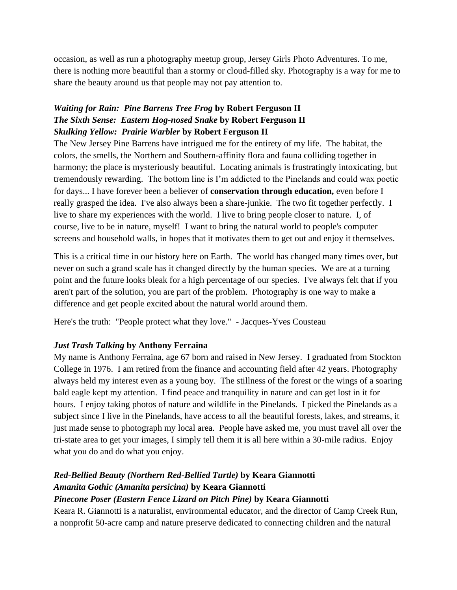occasion, as well as run a photography meetup group, Jersey Girls Photo Adventures. To me, there is nothing more beautiful than a stormy or cloud-filled sky. Photography is a way for me to share the beauty around us that people may not pay attention to.

## *Waiting for Rain: Pine Barrens Tree Frog* **by Robert Ferguson II** *The Sixth Sense: Eastern Hog-nosed Snake* **by Robert Ferguson II** *Skulking Yellow: Prairie Warbler* **by Robert Ferguson II**

The New Jersey Pine Barrens have intrigued me for the entirety of my life. The habitat, the colors, the smells, the Northern and Southern-affinity flora and fauna colliding together in harmony; the place is mysteriously beautiful. Locating animals is frustratingly intoxicating, but tremendously rewarding. The bottom line is I'm addicted to the Pinelands and could wax poetic for days... I have forever been a believer of **conservation through education,** even before I really grasped the idea. I've also always been a share-junkie. The two fit together perfectly. I live to share my experiences with the world. I live to bring people closer to nature. I, of course, live to be in nature, myself! I want to bring the natural world to people's computer screens and household walls, in hopes that it motivates them to get out and enjoy it themselves.

This is a critical time in our history here on Earth. The world has changed many times over, but never on such a grand scale has it changed directly by the human species. We are at a turning point and the future looks bleak for a high percentage of our species. I've always felt that if you aren't part of the solution, you are part of the problem. Photography is one way to make a difference and get people excited about the natural world around them.

Here's the truth: "People protect what they love." - Jacques-Yves Cousteau

## *Just Trash Talking* **by Anthony Ferraina**

My name is Anthony Ferraina, age 67 born and raised in New Jersey. I graduated from Stockton College in 1976. I am retired from the finance and accounting field after 42 years. Photography always held my interest even as a young boy. The stillness of the forest or the wings of a soaring bald eagle kept my attention. I find peace and tranquility in nature and can get lost in it for hours. I enjoy taking photos of nature and wildlife in the Pinelands. I picked the Pinelands as a subject since I live in the Pinelands, have access to all the beautiful forests, lakes, and streams, it just made sense to photograph my local area. People have asked me, you must travel all over the tri-state area to get your images, I simply tell them it is all here within a 30-mile radius. Enjoy what you do and do what you enjoy.

# *Red-Bellied Beauty (Northern Red-Bellied Turtle)* **by Keara Giannotti** *Amanita Gothic (Amanita persicina)* **by Keara Giannotti**

## *Pinecone Poser (Eastern Fence Lizard on Pitch Pine)* **by Keara Giannotti**

Keara R. Giannotti is a naturalist, environmental educator, and the director of Camp Creek Run, a nonprofit 50-acre camp and nature preserve dedicated to connecting children and the natural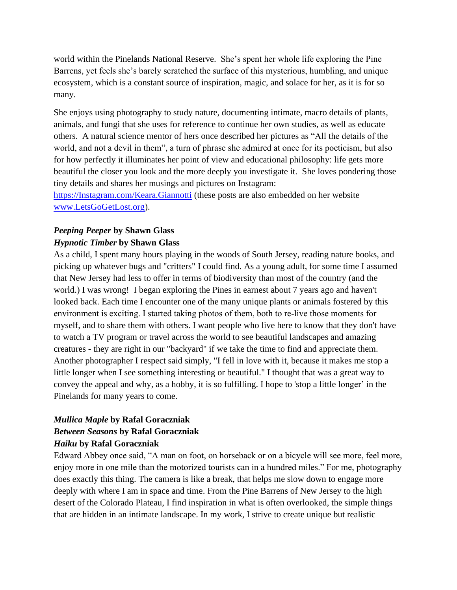world within the Pinelands National Reserve. She's spent her whole life exploring the Pine Barrens, yet feels she's barely scratched the surface of this mysterious, humbling, and unique ecosystem, which is a constant source of inspiration, magic, and solace for her, as it is for so many.

She enjoys using photography to study nature, documenting intimate, macro details of plants, animals, and fungi that she uses for reference to continue her own studies, as well as educate others. A natural science mentor of hers once described her pictures as "All the details of the world, and not a devil in them", a turn of phrase she admired at once for its poeticism, but also for how perfectly it illuminates her point of view and educational philosophy: life gets more beautiful the closer you look and the more deeply you investigate it. She loves pondering those tiny details and shares her musings and pictures on Instagram:

[https://Instagram.com/Keara.Giannotti](https://shared.outlook.inky.com/link?domain=Instagram.com&t=eyJ0eXAiOiJKV1QiLCJhbGciOiJFUzI1NiJ9.eJxlkNFqwkAQRf9ln0UxUrB5siUktTURi7okCDJupsnG2Y3sbmy09N-7eSgU-jjMuYc788UcgpIlC9lFaiTQpQUiCVogGzGpHRoNxMIPIIsjhh48IxioPKJb5-TiBnXbjkWrPD94_s6d8VFWO3ex4WFymCy1dVAZUMP-MHkbTOPkV-UD6x0LdUc0Yq42CO5IeEXvmPoug1wk1BW8r0_q_Z7z3gKPuzzYXYWKG0j2dvPyfDmpvc35w1kEsT0l5NmMVurxVtzms0LFquBZnd6XQc7zWRHtKeVFk0UiyLaZSptXud5W91zO-6zZTNfR02canftVs5wN91g0R1Qg6QhladBa38mAqJEW__43bk3Fvn8AQNt7rg.MEYCIQDOPCmyChduh2yQOaqCLmBZxs9Sz75n6wt_i_vkFmwxNwIhAJ-4wNPjvQn62P6nt5g44LDYQTRVjUjuvCnt-PQZFrqz) (these posts are also embedded on her website [www.LetsGoGetLost.org\)](http://www.letsgogetlost.org/).

## *Peeping Peeper* **by Shawn Glass** *Hypnotic Timber* **by Shawn Glass**

As a child, I spent many hours playing in the woods of South Jersey, reading nature books, and picking up whatever bugs and "critters" I could find. As a young adult, for some time I assumed that New Jersey had less to offer in terms of biodiversity than most of the country (and the world.) I was wrong! I began exploring the Pines in earnest about 7 years ago and haven't looked back. Each time I encounter one of the many unique plants or animals fostered by this environment is exciting. I started taking photos of them, both to re‐live those moments for myself, and to share them with others. I want people who live here to know that they don't have to watch a TV program or travel across the world to see beautiful landscapes and amazing creatures - they are right in our "backyard" if we take the time to find and appreciate them. Another photographer I respect said simply, "I fell in love with it, because it makes me stop a little longer when I see something interesting or beautiful." I thought that was a great way to convey the appeal and why, as a hobby, it is so fulfilling. I hope to 'stop a little longer' in the Pinelands for many years to come.

## *Mullica Maple* **by Rafal Goraczniak** *Between Seasons* **by Rafal Goraczniak** *Haiku* **by Rafal Goraczniak**

Edward Abbey once said, "A man on foot, on horseback or on a bicycle will see more, feel more, enjoy more in one mile than the motorized tourists can in a hundred miles." For me, photography does exactly this thing. The camera is like a break, that helps me slow down to engage more deeply with where I am in space and time. From the Pine Barrens of New Jersey to the high desert of the Colorado Plateau, I find inspiration in what is often overlooked, the simple things that are hidden in an intimate landscape. In my work, I strive to create unique but realistic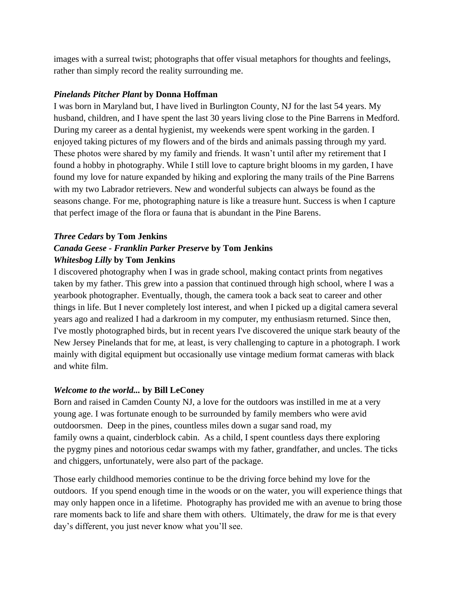images with a surreal twist; photographs that offer visual metaphors for thoughts and feelings, rather than simply record the reality surrounding me.

## *Pinelands Pitcher Plant* **by Donna Hoffman**

I was born in Maryland but, I have lived in Burlington County, NJ for the last 54 years. My husband, children, and I have spent the last 30 years living close to the Pine Barrens in Medford. During my career as a dental hygienist, my weekends were spent working in the garden. I enjoyed taking pictures of my flowers and of the birds and animals passing through my yard. These photos were shared by my family and friends. It wasn't until after my retirement that I found a hobby in photography. While I still love to capture bright blooms in my garden, I have found my love for nature expanded by hiking and exploring the many trails of the Pine Barrens with my two Labrador retrievers. New and wonderful subjects can always be found as the seasons change. For me, photographing nature is like a treasure hunt. Success is when I capture that perfect image of the flora or fauna that is abundant in the Pine Barens.

## *Three Cedars* **by Tom Jenkins** *Canada Geese - Franklin Parker Preserve* **by Tom Jenkins** *Whitesbog Lilly* **by Tom Jenkins**

I discovered photography when I was in grade school, making contact prints from negatives taken by my father. This grew into a passion that continued through high school, where I was a yearbook photographer. Eventually, though, the camera took a back seat to career and other things in life. But I never completely lost interest, and when I picked up a digital camera several years ago and realized I had a darkroom in my computer, my enthusiasm returned. Since then, I've mostly photographed birds, but in recent years I've discovered the unique stark beauty of the New Jersey Pinelands that for me, at least, is very challenging to capture in a photograph. I work mainly with digital equipment but occasionally use vintage medium format cameras with black and white film.

## *Welcome to the world...* **by Bill LeConey**

Born and raised in Camden County NJ, a love for the outdoors was instilled in me at a very young age. I was fortunate enough to be surrounded by family members who were avid outdoorsmen. Deep in the pines, countless miles down a sugar sand road, my family owns a quaint, cinderblock cabin. As a child, I spent countless days there exploring the pygmy pines and notorious cedar swamps with my father, grandfather, and uncles. The ticks and chiggers, unfortunately, were also part of the package.

Those early childhood memories continue to be the driving force behind my love for the outdoors. If you spend enough time in the woods or on the water, you will experience things that may only happen once in a lifetime. Photography has provided me with an avenue to bring those rare moments back to life and share them with others. Ultimately, the draw for me is that every day's different, you just never know what you'll see.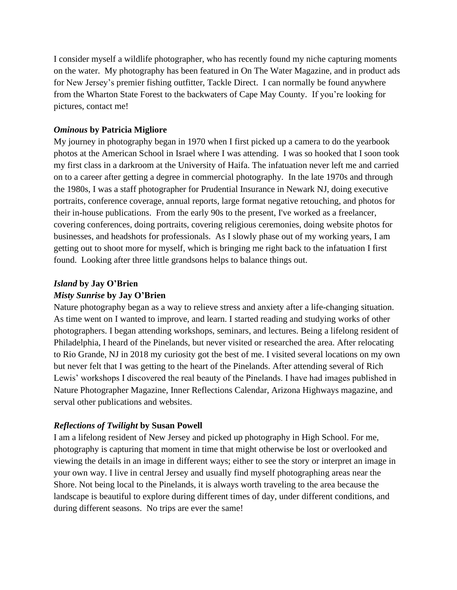I consider myself a wildlife photographer, who has recently found my niche capturing moments on the water. My photography has been featured in On The Water Magazine, and in product ads for New Jersey's premier fishing outfitter, Tackle Direct. I can normally be found anywhere from the Wharton State Forest to the backwaters of Cape May County. If you're looking for pictures, contact me!

### *Ominous* **by Patricia Migliore**

My journey in photography began in 1970 when I first picked up a camera to do the yearbook photos at the American School in Israel where I was attending. I was so hooked that I soon took my first class in a darkroom at the University of Haifa. The infatuation never left me and carried on to a career after getting a degree in commercial photography. In the late 1970s and through the 1980s, I was a staff photographer for Prudential Insurance in Newark NJ, doing executive portraits, conference coverage, annual reports, large format negative retouching, and photos for their in-house publications. From the early 90s to the present, I've worked as a freelancer, covering conferences, doing portraits, covering religious ceremonies, doing website photos for businesses, and headshots for professionals. As I slowly phase out of my working years, I am getting out to shoot more for myself, which is bringing me right back to the infatuation I first found. Looking after three little grandsons helps to balance things out.

#### *Island* **by Jay O'Brien**

### *Misty Sunrise* **by Jay O'Brien**

Nature photography began as a way to relieve stress and anxiety after a life-changing situation. As time went on I wanted to improve, and learn. I started reading and studying works of other photographers. I began attending workshops, seminars, and lectures. Being a lifelong resident of Philadelphia, I heard of the Pinelands, but never visited or researched the area. After relocating to Rio Grande, NJ in 2018 my curiosity got the best of me. I visited several locations on my own but never felt that I was getting to the heart of the Pinelands. After attending several of Rich Lewis' workshops I discovered the real beauty of the Pinelands. I have had images published in Nature Photographer Magazine, Inner Reflections Calendar, Arizona Highways magazine, and serval other publications and websites.

#### *Reflections of Twilight* **by Susan Powell**

I am a lifelong resident of New Jersey and picked up photography in High School. For me, photography is capturing that moment in time that might otherwise be lost or overlooked and viewing the details in an image in different ways; either to see the story or interpret an image in your own way. I live in central Jersey and usually find myself photographing areas near the Shore. Not being local to the Pinelands, it is always worth traveling to the area because the landscape is beautiful to explore during different times of day, under different conditions, and during different seasons. No trips are ever the same!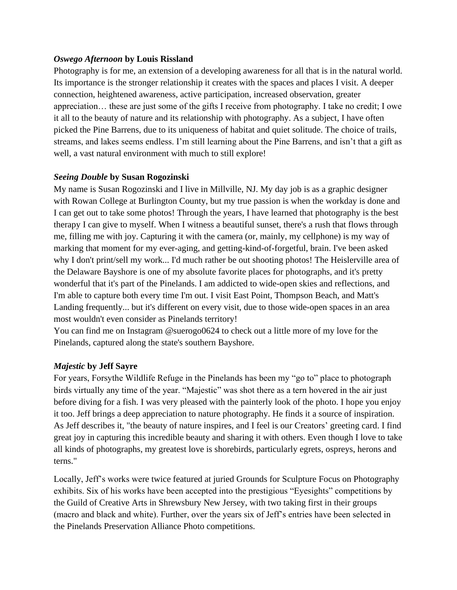#### *Oswego Afternoon* **by Louis Rissland**

Photography is for me, an extension of a developing awareness for all that is in the natural world. Its importance is the stronger relationship it creates with the spaces and places I visit. A deeper connection, heightened awareness, active participation, increased observation, greater appreciation… these are just some of the gifts I receive from photography. I take no credit; I owe it all to the beauty of nature and its relationship with photography. As a subject, I have often picked the Pine Barrens, due to its uniqueness of habitat and quiet solitude. The choice of trails, streams, and lakes seems endless. I'm still learning about the Pine Barrens, and isn't that a gift as well, a vast natural environment with much to still explore!

## *Seeing Double* **by Susan Rogozinski**

My name is Susan Rogozinski and I live in Millville, NJ. My day job is as a graphic designer with Rowan College at Burlington County, but my true passion is when the workday is done and I can get out to take some photos! Through the years, I have learned that photography is the best therapy I can give to myself. When I witness a beautiful sunset, there's a rush that flows through me, filling me with joy. Capturing it with the camera (or, mainly, my cellphone) is my way of marking that moment for my ever-aging, and getting-kind-of-forgetful, brain. I've been asked why I don't print/sell my work... I'd much rather be out shooting photos! The Heislerville area of the Delaware Bayshore is one of my absolute favorite places for photographs, and it's pretty wonderful that it's part of the Pinelands. I am addicted to wide-open skies and reflections, and I'm able to capture both every time I'm out. I visit East Point, Thompson Beach, and Matt's Landing frequently... but it's different on every visit, due to those wide-open spaces in an area most wouldn't even consider as Pinelands territory!

You can find me on Instagram @suerogo0624 to check out a little more of my love for the Pinelands, captured along the state's southern Bayshore.

## *Majestic* **by Jeff Sayre**

For years, Forsythe Wildlife Refuge in the Pinelands has been my "go to" place to photograph birds virtually any time of the year. "Majestic" was shot there as a tern hovered in the air just before diving for a fish. I was very pleased with the painterly look of the photo. I hope you enjoy it too. Jeff brings a deep appreciation to nature photography. He finds it a source of inspiration. As Jeff describes it, "the beauty of nature inspires, and I feel is our Creators' greeting card. I find great joy in capturing this incredible beauty and sharing it with others. Even though I love to take all kinds of photographs, my greatest love is shorebirds, particularly egrets, ospreys, herons and terns."

Locally, Jeff's works were twice featured at juried Grounds for Sculpture Focus on Photography exhibits. Six of his works have been accepted into the prestigious "Eyesights" competitions by the Guild of Creative Arts in Shrewsbury New Jersey, with two taking first in their groups (macro and black and white). Further, over the years six of Jeff's entries have been selected in the Pinelands Preservation Alliance Photo competitions.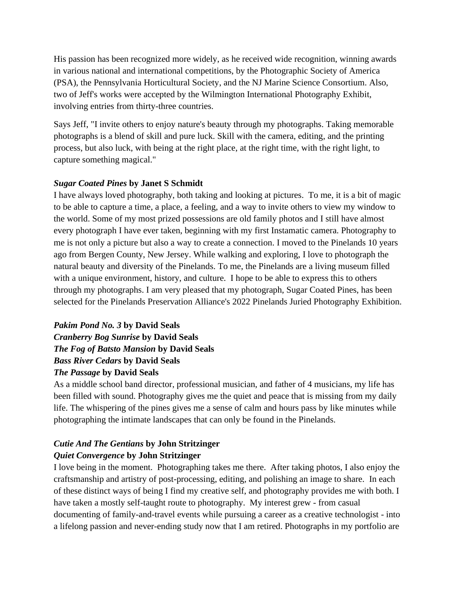His passion has been recognized more widely, as he received wide recognition, winning awards in various national and international competitions, by the Photographic Society of America (PSA), the Pennsylvania Horticultural Society, and the NJ Marine Science Consortium. Also, two of Jeff's works were accepted by the Wilmington International Photography Exhibit, involving entries from thirty-three countries.

Says Jeff, "I invite others to enjoy nature's beauty through my photographs. Taking memorable photographs is a blend of skill and pure luck. Skill with the camera, editing, and the printing process, but also luck, with being at the right place, at the right time, with the right light, to capture something magical."

## *Sugar Coated Pines* **by Janet S Schmidt**

I have always loved photography, both taking and looking at pictures. To me, it is a bit of magic to be able to capture a time, a place, a feeling, and a way to invite others to view my window to the world. Some of my most prized possessions are old family photos and I still have almost every photograph I have ever taken, beginning with my first Instamatic camera. Photography to me is not only a picture but also a way to create a connection. I moved to the Pinelands 10 years ago from Bergen County, New Jersey. While walking and exploring, I love to photograph the natural beauty and diversity of the Pinelands. To me, the Pinelands are a living museum filled with a unique environment, history, and culture. I hope to be able to express this to others through my photographs. I am very pleased that my photograph, Sugar Coated Pines, has been selected for the Pinelands Preservation Alliance's 2022 Pinelands Juried Photography Exhibition.

# *Pakim Pond No. 3* **by David Seals** *Cranberry Bog Sunrise* **by David Seals** *The Fog of Batsto Mansion* **by David Seals** *Bass River Cedars* **by David Seals** *The Passage* **by David Seals**

As a middle school band director, professional musician, and father of 4 musicians, my life has been filled with sound. Photography gives me the quiet and peace that is missing from my daily life. The whispering of the pines gives me a sense of calm and hours pass by like minutes while photographing the intimate landscapes that can only be found in the Pinelands.

## *Cutie And The Gentians* **by John Stritzinger** *Quiet Convergence* **by John Stritzinger**

I love being in the moment. Photographing takes me there. After taking photos, I also enjoy the craftsmanship and artistry of post-processing, editing, and polishing an image to share. In each of these distinct ways of being I find my creative self, and photography provides me with both. I have taken a mostly self-taught route to photography. My interest grew - from casual documenting of family-and-travel events while pursuing a career as a creative technologist - into a lifelong passion and never-ending study now that I am retired. Photographs in my portfolio are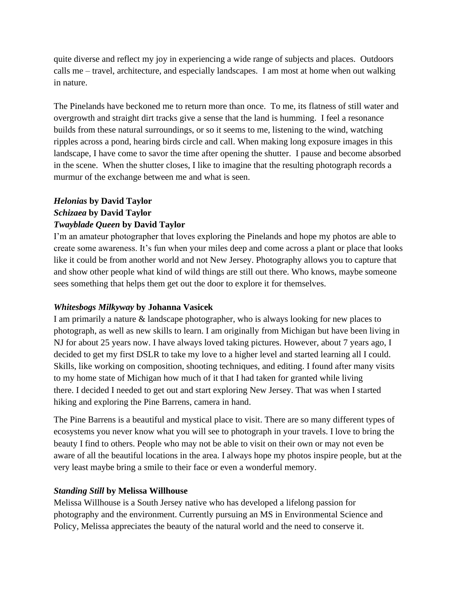quite diverse and reflect my joy in experiencing a wide range of subjects and places. Outdoors calls me – travel, architecture, and especially landscapes. I am most at home when out walking in nature.

The Pinelands have beckoned me to return more than once. To me, its flatness of still water and overgrowth and straight dirt tracks give a sense that the land is humming. I feel a resonance builds from these natural surroundings, or so it seems to me, listening to the wind, watching ripples across a pond, hearing birds circle and call. When making long exposure images in this landscape, I have come to savor the time after opening the shutter. I pause and become absorbed in the scene. When the shutter closes, I like to imagine that the resulting photograph records a murmur of the exchange between me and what is seen.

## *Helonias* **by David Taylor** *Schizaea* **by David Taylor** *Twayblade Queen* **by David Taylor**

I'm an amateur photographer that loves exploring the Pinelands and hope my photos are able to create some awareness. It's fun when your miles deep and come across a plant or place that looks like it could be from another world and not New Jersey. Photography allows you to capture that and show other people what kind of wild things are still out there. Who knows, maybe someone sees something that helps them get out the door to explore it for themselves.

## *Whitesbogs Milkyway* **by Johanna Vasicek**

I am primarily a nature & landscape photographer, who is always looking for new places to photograph, as well as new skills to learn. I am originally from Michigan but have been living in NJ for about 25 years now. I have always loved taking pictures. However, about 7 years ago, I decided to get my first DSLR to take my love to a higher level and started learning all I could. Skills, like working on composition, shooting techniques, and editing. I found after many visits to my home state of Michigan how much of it that I had taken for granted while living there. I decided I needed to get out and start exploring New Jersey. That was when I started hiking and exploring the Pine Barrens, camera in hand.

The Pine Barrens is a beautiful and mystical place to visit. There are so many different types of ecosystems you never know what you will see to photograph in your travels. I love to bring the beauty I find to others. People who may not be able to visit on their own or may not even be aware of all the beautiful locations in the area. I always hope my photos inspire people, but at the very least maybe bring a smile to their face or even a wonderful memory.

## *Standing Still* **by Melissa Willhouse**

Melissa Willhouse is a South Jersey native who has developed a lifelong passion for photography and the environment. Currently pursuing an MS in Environmental Science and Policy, Melissa appreciates the beauty of the natural world and the need to conserve it.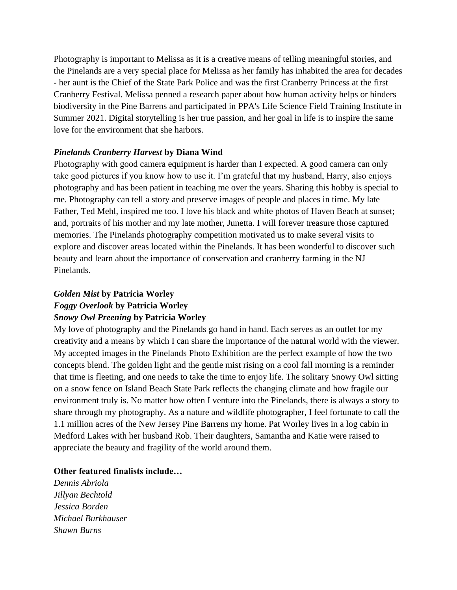Photography is important to Melissa as it is a creative means of telling meaningful stories, and the Pinelands are a very special place for Melissa as her family has inhabited the area for decades - her aunt is the Chief of the State Park Police and was the first Cranberry Princess at the first Cranberry Festival. Melissa penned a research paper about how human activity helps or hinders biodiversity in the Pine Barrens and participated in PPA's Life Science Field Training Institute in Summer 2021. Digital storytelling is her true passion, and her goal in life is to inspire the same love for the environment that she harbors.

## *Pinelands Cranberry Harvest* **by Diana Wind**

Photography with good camera equipment is harder than I expected. A good camera can only take good pictures if you know how to use it. I'm grateful that my husband, Harry, also enjoys photography and has been patient in teaching me over the years. Sharing this hobby is special to me. Photography can tell a story and preserve images of people and places in time. My late Father, Ted Mehl, inspired me too. I love his black and white photos of Haven Beach at sunset; and, portraits of his mother and my late mother, Junetta. I will forever treasure those captured memories. The Pinelands photography competition motivated us to make several visits to explore and discover areas located within the Pinelands. It has been wonderful to discover such beauty and learn about the importance of conservation and cranberry farming in the NJ Pinelands.

#### *Golden Mist* **by Patricia Worley**

# *Foggy Overlook* **by Patricia Worley**

## *Snowy Owl Preening* **by Patricia Worley**

My love of photography and the Pinelands go hand in hand. Each serves as an outlet for my creativity and a means by which I can share the importance of the natural world with the viewer. My accepted images in the Pinelands Photo Exhibition are the perfect example of how the two concepts blend. The golden light and the gentle mist rising on a cool fall morning is a reminder that time is fleeting, and one needs to take the time to enjoy life. The solitary Snowy Owl sitting on a snow fence on Island Beach State Park reflects the changing climate and how fragile our environment truly is. No matter how often I venture into the Pinelands, there is always a story to share through my photography. As a nature and wildlife photographer, I feel fortunate to call the 1.1 million acres of the New Jersey Pine Barrens my home. Pat Worley lives in a log cabin in Medford Lakes with her husband Rob. Their daughters, Samantha and Katie were raised to appreciate the beauty and fragility of the world around them.

## **Other featured finalists include…**

*Dennis Abriola Jillyan Bechtold Jessica Borden Michael Burkhauser Shawn Burns*